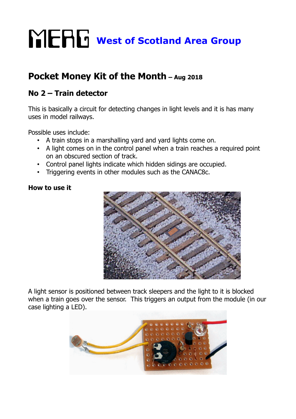## **WERG** West of Scotland Area Group

## **Pocket Money Kit of the Month – Aug 2018**

## **No 2 – Train detector**

This is basically a circuit for detecting changes in light levels and it is has many uses in model railways.

Possible uses include:

- A train stops in a marshalling yard and yard lights come on.
- A light comes on in the control panel when a train reaches a required point on an obscured section of track.
- Control panel lights indicate which hidden sidings are occupied.
- Triggering events in other modules such as the CANAC8c.

## **How to use it**



A light sensor is positioned between track sleepers and the light to it is blocked when a train goes over the sensor. This triggers an output from the module (in our case lighting a LED).